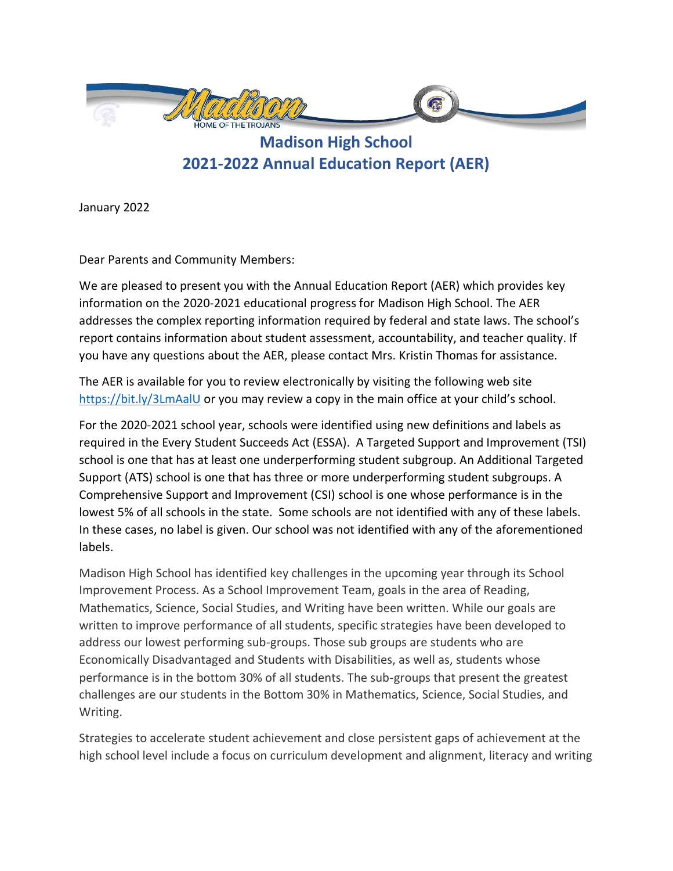

**Madison High School 2021-2022 Annual Education Report (AER)**

January 2022

Dear Parents and Community Members:

We are pleased to present you with the Annual Education Report (AER) which provides key information on the 2020-2021 educational progress for Madison High School. The AER addresses the complex reporting information required by federal and state laws. The school's report contains information about student assessment, accountability, and teacher quality. If you have any questions about the AER, please contact Mrs. Kristin Thomas for assistance.

The AER is available for you to review electronically by visiting the following web site <https://bit.ly/3LmAalU> or you may review a copy in the main office at your child's school.

For the 2020-2021 school year, schools were identified using new definitions and labels as required in the Every Student Succeeds Act (ESSA). A Targeted Support and Improvement (TSI) school is one that has at least one underperforming student subgroup. An Additional Targeted Support (ATS) school is one that has three or more underperforming student subgroups. A Comprehensive Support and Improvement (CSI) school is one whose performance is in the lowest 5% of all schools in the state. Some schools are not identified with any of these labels. In these cases, no label is given. Our school was not identified with any of the aforementioned labels.

Madison High School has identified key challenges in the upcoming year through its School Improvement Process. As a School Improvement Team, goals in the area of Reading, Mathematics, Science, Social Studies, and Writing have been written. While our goals are written to improve performance of all students, specific strategies have been developed to address our lowest performing sub-groups. Those sub groups are students who are Economically Disadvantaged and Students with Disabilities, as well as, students whose performance is in the bottom 30% of all students. The sub-groups that present the greatest challenges are our students in the Bottom 30% in Mathematics, Science, Social Studies, and Writing.

Strategies to accelerate student achievement and close persistent gaps of achievement at the high school level include a focus on curriculum development and alignment, literacy and writing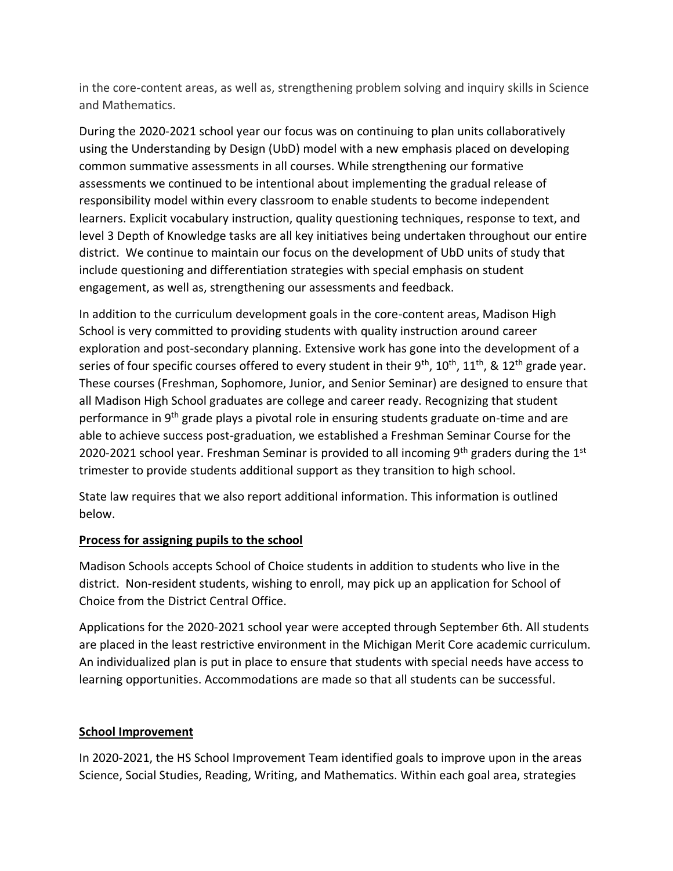in the core-content areas, as well as, strengthening problem solving and inquiry skills in Science and Mathematics.

During the 2020-2021 school year our focus was on continuing to plan units collaboratively using the Understanding by Design (UbD) model with a new emphasis placed on developing common summative assessments in all courses. While strengthening our formative assessments we continued to be intentional about implementing the gradual release of responsibility model within every classroom to enable students to become independent learners. Explicit vocabulary instruction, quality questioning techniques, response to text, and level 3 Depth of Knowledge tasks are all key initiatives being undertaken throughout our entire district. We continue to maintain our focus on the development of UbD units of study that include questioning and differentiation strategies with special emphasis on student engagement, as well as, strengthening our assessments and feedback.

In addition to the curriculum development goals in the core-content areas, Madison High School is very committed to providing students with quality instruction around career exploration and post-secondary planning. Extensive work has gone into the development of a series of four specific courses offered to every student in their  $9^{th}$ ,  $10^{th}$ ,  $11^{th}$ , &  $12^{th}$  grade year. These courses (Freshman, Sophomore, Junior, and Senior Seminar) are designed to ensure that all Madison High School graduates are college and career ready. Recognizing that student performance in 9th grade plays a pivotal role in ensuring students graduate on-time and are able to achieve success post-graduation, we established a Freshman Seminar Course for the 2020-2021 school year. Freshman Seminar is provided to all incoming  $9<sup>th</sup>$  graders during the 1<sup>st</sup> trimester to provide students additional support as they transition to high school.

State law requires that we also report additional information. This information is outlined below.

## **Process for assigning pupils to the school**

Madison Schools accepts School of Choice students in addition to students who live in the district. Non-resident students, wishing to enroll, may pick up an application for School of Choice from the District Central Office.

Applications for the 2020-2021 school year were accepted through September 6th. All students are placed in the least restrictive environment in the Michigan Merit Core academic curriculum. An individualized plan is put in place to ensure that students with special needs have access to learning opportunities. Accommodations are made so that all students can be successful.

### **School Improvement**

In 2020-2021, the HS School Improvement Team identified goals to improve upon in the areas Science, Social Studies, Reading, Writing, and Mathematics. Within each goal area, strategies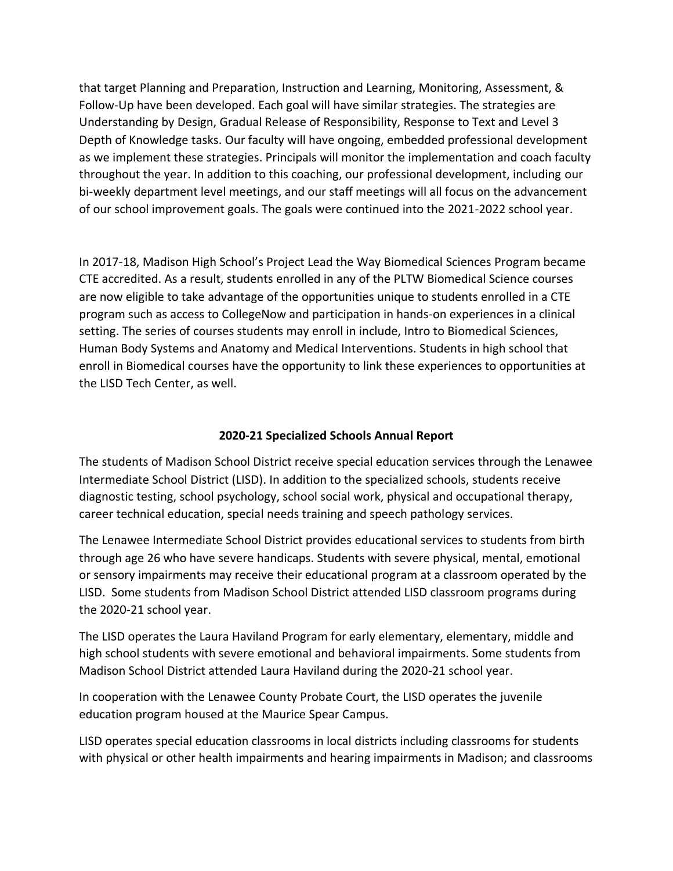that target Planning and Preparation, Instruction and Learning, Monitoring, Assessment, & Follow-Up have been developed. Each goal will have similar strategies. The strategies are Understanding by Design, Gradual Release of Responsibility, Response to Text and Level 3 Depth of Knowledge tasks. Our faculty will have ongoing, embedded professional development as we implement these strategies. Principals will monitor the implementation and coach faculty throughout the year. In addition to this coaching, our professional development, including our bi-weekly department level meetings, and our staff meetings will all focus on the advancement of our school improvement goals. The goals were continued into the 2021-2022 school year.

In 2017-18, Madison High School's Project Lead the Way Biomedical Sciences Program became CTE accredited. As a result, students enrolled in any of the PLTW Biomedical Science courses are now eligible to take advantage of the opportunities unique to students enrolled in a CTE program such as access to CollegeNow and participation in hands-on experiences in a clinical setting. The series of courses students may enroll in include, Intro to Biomedical Sciences, Human Body Systems and Anatomy and Medical Interventions. Students in high school that enroll in Biomedical courses have the opportunity to link these experiences to opportunities at the LISD Tech Center, as well.

# **2020-21 Specialized Schools Annual Report**

The students of Madison School District receive special education services through the Lenawee Intermediate School District (LISD). In addition to the specialized schools, students receive diagnostic testing, school psychology, school social work, physical and occupational therapy, career technical education, special needs training and speech pathology services.

The Lenawee Intermediate School District provides educational services to students from birth through age 26 who have severe handicaps. Students with severe physical, mental, emotional or sensory impairments may receive their educational program at a classroom operated by the LISD. Some students from Madison School District attended LISD classroom programs during the 2020-21 school year.

The LISD operates the Laura Haviland Program for early elementary, elementary, middle and high school students with severe emotional and behavioral impairments. Some students from Madison School District attended Laura Haviland during the 2020-21 school year.

In cooperation with the Lenawee County Probate Court, the LISD operates the juvenile education program housed at the Maurice Spear Campus.

LISD operates special education classrooms in local districts including classrooms for students with physical or other health impairments and hearing impairments in Madison; and classrooms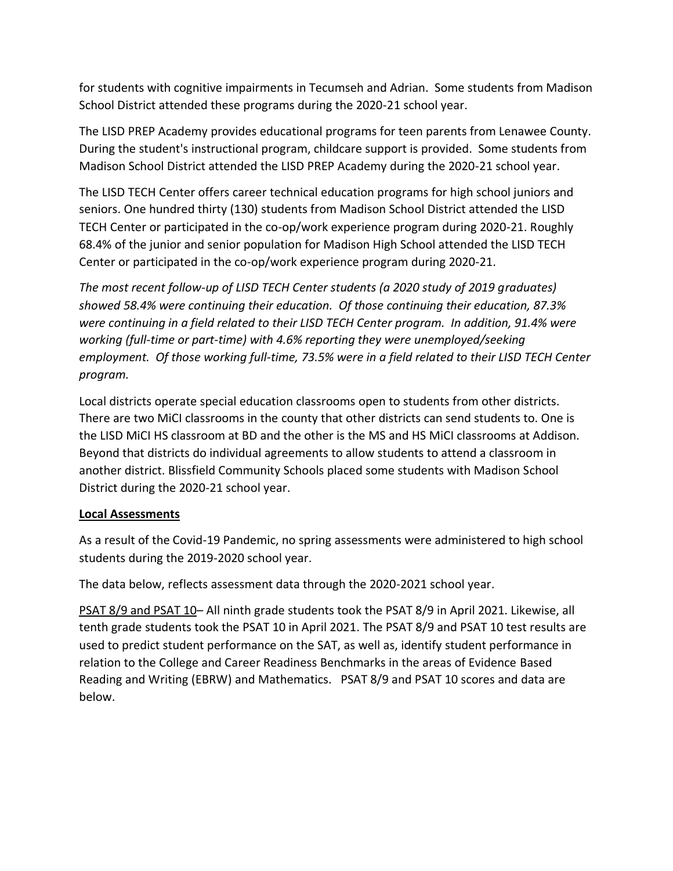for students with cognitive impairments in Tecumseh and Adrian. Some students from Madison School District attended these programs during the 2020-21 school year.

The LISD PREP Academy provides educational programs for teen parents from Lenawee County. During the student's instructional program, childcare support is provided. Some students from Madison School District attended the LISD PREP Academy during the 2020-21 school year.

The LISD TECH Center offers career technical education programs for high school juniors and seniors. One hundred thirty (130) students from Madison School District attended the LISD TECH Center or participated in the co-op/work experience program during 2020-21. Roughly 68.4% of the junior and senior population for Madison High School attended the LISD TECH Center or participated in the co-op/work experience program during 2020-21.

*The most recent follow-up of LISD TECH Center students (a 2020 study of 2019 graduates) showed 58.4% were continuing their education. Of those continuing their education, 87.3% were continuing in a field related to their LISD TECH Center program. In addition, 91.4% were working (full-time or part-time) with 4.6% reporting they were unemployed/seeking employment. Of those working full-time, 73.5% were in a field related to their LISD TECH Center program.*

Local districts operate special education classrooms open to students from other districts. There are two MiCI classrooms in the county that other districts can send students to. One is the LISD MiCI HS classroom at BD and the other is the MS and HS MiCI classrooms at Addison. Beyond that districts do individual agreements to allow students to attend a classroom in another district. Blissfield Community Schools placed some students with Madison School District during the 2020-21 school year.

## **Local Assessments**

As a result of the Covid-19 Pandemic, no spring assessments were administered to high school students during the 2019-2020 school year.

The data below, reflects assessment data through the 2020-2021 school year.

PSAT 8/9 and PSAT 10– All ninth grade students took the PSAT 8/9 in April 2021. Likewise, all tenth grade students took the PSAT 10 in April 2021. The PSAT 8/9 and PSAT 10 test results are used to predict student performance on the SAT, as well as, identify student performance in relation to the College and Career Readiness Benchmarks in the areas of Evidence Based Reading and Writing (EBRW) and Mathematics. PSAT 8/9 and PSAT 10 scores and data are below.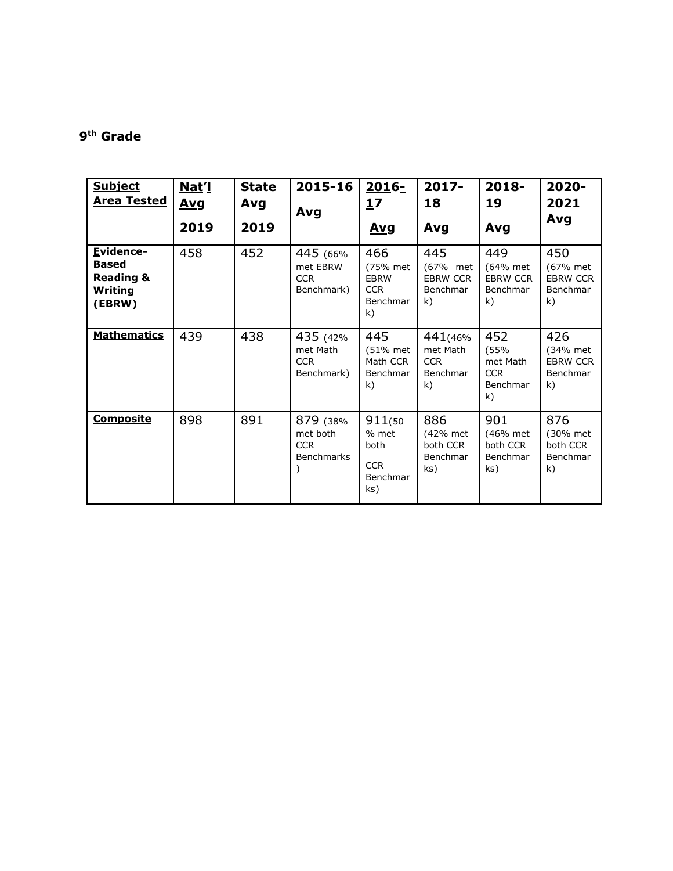#### **9 th Grade**

| <b>Subject</b><br><u>Area Tested</u>                                   | Nat'l<br><u>Avg</u><br>2019 | <b>State</b><br>Avg<br>2019 | 2015-16<br>Avg                                          | 2016-<br>17<br><b>Avg</b>                                      | $2017 -$<br>18<br>Avg                                | 2018-<br>19<br>Avg                                      | 2020-<br>2021<br>Avg                                 |
|------------------------------------------------------------------------|-----------------------------|-----------------------------|---------------------------------------------------------|----------------------------------------------------------------|------------------------------------------------------|---------------------------------------------------------|------------------------------------------------------|
| Evidence-<br><b>Based</b><br><b>Reading &amp;</b><br>Writing<br>(EBRW) | 458                         | 452                         | 445 (66%<br>met EBRW<br><b>CCR</b><br>Benchmark)        | 466<br>(75% met<br><b>EBRW</b><br><b>CCR</b><br>Benchmar<br>k) | 445<br>(67% met<br><b>EBRW CCR</b><br>Benchmar<br>k) | 449<br>(64% met<br><b>EBRW CCR</b><br>Benchmar<br>k)    | 450<br>(67% met<br><b>EBRW CCR</b><br>Benchmar<br>k) |
| <b>Mathematics</b>                                                     | 439                         | 438                         | 435 (42%<br>met Math<br><b>CCR</b><br>Benchmark)        | 445<br>(51% met<br>Math CCR<br>Benchmar<br>k)                  | 441(46%)<br>met Math<br><b>CCR</b><br>Benchmar<br>k) | 452<br>(55%<br>met Math<br><b>CCR</b><br>Benchmar<br>k) | 426<br>(34% met<br><b>EBRW CCR</b><br>Benchmar<br>k) |
| <b>Composite</b>                                                       | 898                         | 891                         | 879 (38%<br>met both<br><b>CCR</b><br><b>Benchmarks</b> | 911(50<br>% met<br>both<br><b>CCR</b><br>Benchmar<br>ks)       | 886<br>(42% met<br>both CCR<br>Benchmar<br>ks)       | 901<br>(46% met<br>both CCR<br>Benchmar<br>ks)          | 876<br>(30% met<br>both CCR<br>Benchmar<br>k)        |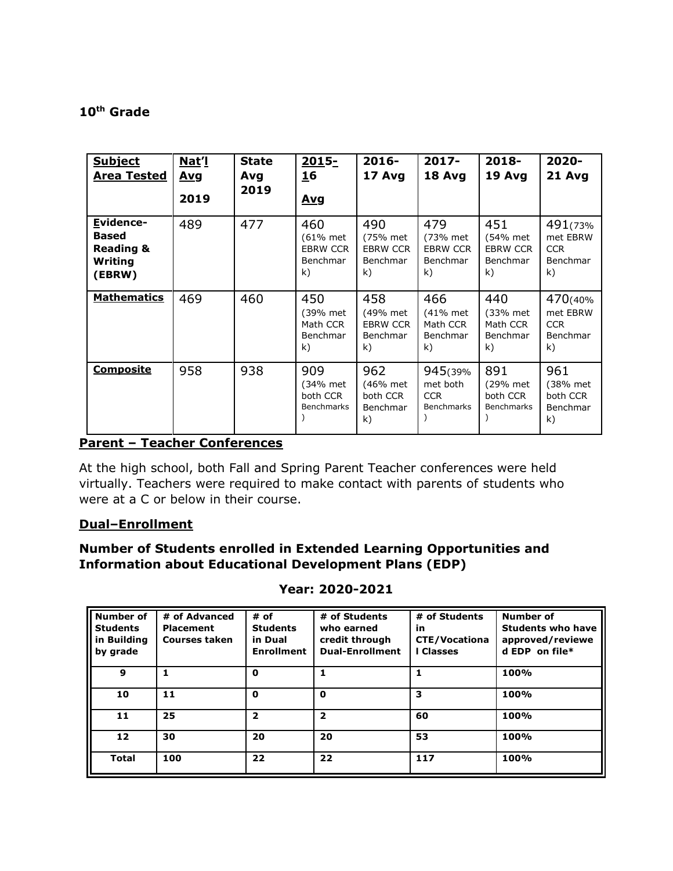### **10th Grade**

| <b>Subject</b><br><b>Area Tested</b>                                   | Nat'l<br><u>Avg</u><br>2019 | <b>State</b><br>Avg<br>2019 | 2015-<br><b>16</b><br><u>Avg</u>                     | $2016-$<br>17 Avg                                    | $2017 -$<br>18 Avg                                      | 2018-<br>19 Avg                                      | 2020-<br>21 Avg                                      |
|------------------------------------------------------------------------|-----------------------------|-----------------------------|------------------------------------------------------|------------------------------------------------------|---------------------------------------------------------|------------------------------------------------------|------------------------------------------------------|
| Evidence-<br><b>Based</b><br><b>Reading &amp;</b><br>Writing<br>(EBRW) | 489                         | 477                         | 460<br>(61% met<br><b>EBRW CCR</b><br>Benchmar<br>k) | 490<br>(75% met<br><b>EBRW CCR</b><br>Benchmar<br>k) | 479<br>(73% met<br><b>EBRW CCR</b><br>Benchmar<br>k)    | 451<br>(54% met<br><b>EBRW CCR</b><br>Benchmar<br>k) | 491(73%)<br>met EBRW<br><b>CCR</b><br>Benchmar<br>k) |
| <b>Mathematics</b>                                                     | 469                         | 460                         | 450<br>(39% met<br>Math CCR<br>Benchmar<br>k)        | 458<br>(49% met<br><b>EBRW CCR</b><br>Benchmar<br>k) | 466<br>(41% met<br>Math CCR<br>Benchmar<br>k)           | 440<br>(33% met<br>Math CCR<br>Benchmar<br>k)        | 470(40%<br>met EBRW<br><b>CCR</b><br>Benchmar<br>k)  |
| <b>Composite</b>                                                       | 958                         | 938                         | 909<br>(34% met<br>both CCR<br><b>Benchmarks</b>     | 962<br>(46% met<br>both CCR<br>Benchmar<br>k)        | 945(39%)<br>met both<br><b>CCR</b><br><b>Benchmarks</b> | 891<br>(29% met<br>both CCR<br><b>Benchmarks</b>     | 961<br>(38% met<br>both CCR<br>Benchmar<br>k)        |

# **Parent – Teacher Conferences**

At the high school, both Fall and Spring Parent Teacher conferences were held virtually. Teachers were required to make contact with parents of students who were at a C or below in their course.

### **Dual–Enrollment**

# **Number of Students enrolled in Extended Learning Opportunities and Information about Educational Development Plans (EDP)**

| Year: 2020-2021 |
|-----------------|
|                 |

| Number of<br><b>Students</b><br>in Building<br>by grade | # of Advanced<br>Placement<br><b>Courses taken</b> | # of<br><b>Students</b><br>in Dual<br><b>Enrollment</b> | # of Students<br>who earned<br>credit through<br><b>Dual-Enrollment</b> | # of Students<br>in<br><b>CTE/Vocationa</b><br>I Classes | Number of<br><b>Students who have</b><br>approved/reviewe<br>$d$ EDP on file* |
|---------------------------------------------------------|----------------------------------------------------|---------------------------------------------------------|-------------------------------------------------------------------------|----------------------------------------------------------|-------------------------------------------------------------------------------|
| 9                                                       |                                                    | 0                                                       |                                                                         |                                                          | 100%                                                                          |
| 10                                                      | 11                                                 | 0                                                       | 0                                                                       | 3                                                        | 100%                                                                          |
| 11                                                      | 25                                                 | 2                                                       | 2                                                                       | 60                                                       | 100%                                                                          |
| 12                                                      | 30                                                 | 20                                                      | 20                                                                      | 53                                                       | 100%                                                                          |
| <b>Total</b>                                            | 100                                                | 22                                                      | 22                                                                      | 117                                                      | 100%                                                                          |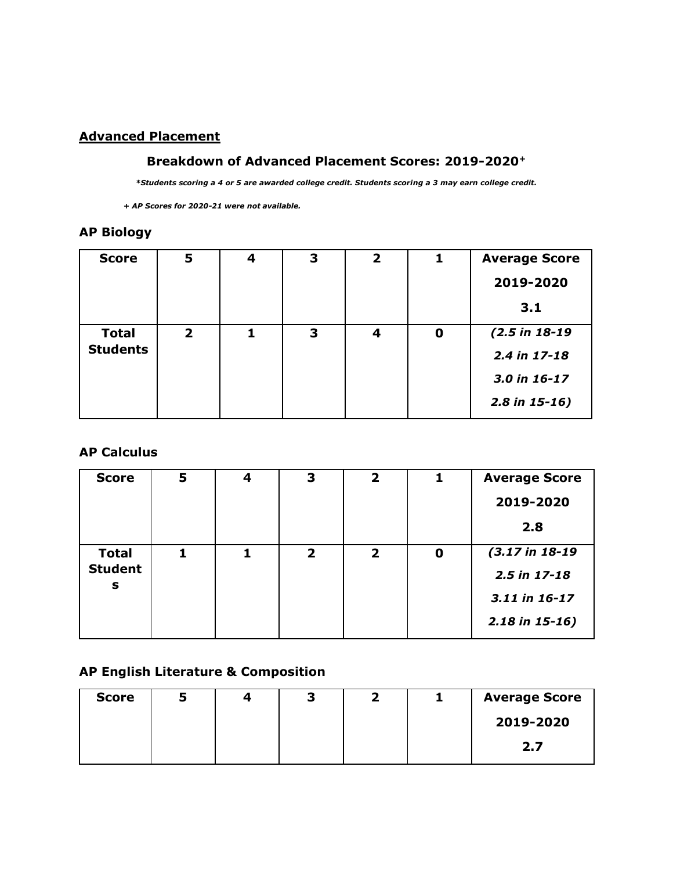# **Advanced Placement**

### **Breakdown of Advanced Placement Scores: 2019-2020<sup>+</sup>**

*\*Students scoring a 4 or 5 are awarded college credit. Students scoring a 3 may earn college credit.*

 *+ AP Scores for 2020-21 were not available.*

# **AP Biology**

| <b>Score</b>    | 5              | 4 | 3 | 2 |   | <b>Average Score</b> |
|-----------------|----------------|---|---|---|---|----------------------|
|                 |                |   |   |   |   | 2019-2020            |
|                 |                |   |   |   |   | 3.1                  |
| <b>Total</b>    | $\overline{2}$ | 1 | 3 | 4 | 0 | $(2.5 in 18-19)$     |
| <b>Students</b> |                |   |   |   |   | $2.4$ in 17-18       |
|                 |                |   |   |   |   | 3.0 in 16-17         |
|                 |                |   |   |   |   | $2.8$ in 15-16)      |

### **AP Calculus**

| <b>Score</b>        | 5 | 4 | 3            | $\overline{\mathbf{2}}$ |             | <b>Average Score</b>         |
|---------------------|---|---|--------------|-------------------------|-------------|------------------------------|
|                     |   |   |              |                         |             | 2019-2020                    |
|                     |   |   |              |                         |             | 2.8                          |
| <b>Total</b>        |   | 1 | $\mathbf{2}$ | $\overline{\mathbf{2}}$ | $\mathbf 0$ | $(3.17 \text{ in } 18 - 19)$ |
| <b>Student</b><br>s |   |   |              |                         |             | 2.5 in 17-18                 |
|                     |   |   |              |                         |             | 3.11 in 16-17                |
|                     |   |   |              |                         |             | $2.18$ in 15-16)             |

## **AP English Literature & Composition**

| <b>Score</b> | 4 | J |  | <b>Average Score</b> |
|--------------|---|---|--|----------------------|
|              |   |   |  | 2019-2020            |
|              |   |   |  | 2.7                  |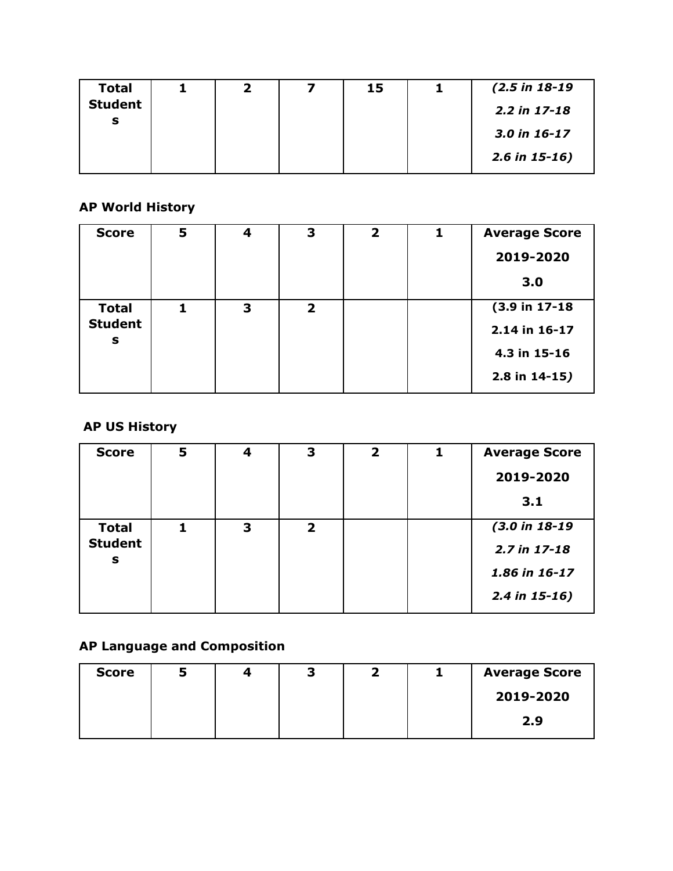| <b>Total</b>   | כ, | 15 | $(2.5 \text{ in } 18 - 19)$ |
|----------------|----|----|-----------------------------|
| <b>Student</b> |    |    | $2.2$ in 17-18              |
| s              |    |    | 3.0 in 16-17                |
|                |    |    | $2.6$ in 15-16)             |

# **AP World History**

| <b>Score</b>        | 5 | 4 | 3              | $\overline{2}$ | 1 | <b>Average Score</b> |
|---------------------|---|---|----------------|----------------|---|----------------------|
|                     |   |   |                |                |   | 2019-2020            |
|                     |   |   |                |                |   | 3.0                  |
| <b>Total</b>        |   | 3 | $\overline{2}$ |                |   | (3.9 in 17-18        |
| <b>Student</b><br>s |   |   |                |                |   | 2.14 in 16-17        |
|                     |   |   |                |                |   | 4.3 in 15-16         |
|                     |   |   |                |                |   | $2.8$ in $14-15$ )   |

# **AP US History**

| <b>Score</b>        | 5 | 4 | 3            | $\overline{\mathbf{2}}$ | <b>Average Score</b> |
|---------------------|---|---|--------------|-------------------------|----------------------|
|                     |   |   |              |                         | 2019-2020            |
|                     |   |   |              |                         | 3.1                  |
| <b>Total</b>        |   | 3 | $\mathbf{2}$ |                         | $(3.0 in 18-19)$     |
| <b>Student</b><br>S |   |   |              |                         | 2.7 in 17-18         |
|                     |   |   |              |                         | 1.86 in 16-17        |
|                     |   |   |              |                         | $2.4$ in 15-16)      |

# **AP Language and Composition**

| <b>Score</b> |  | 7<br>э |  | <b>Average Score</b> |
|--------------|--|--------|--|----------------------|
|              |  |        |  | 2019-2020            |
|              |  |        |  | 2.9                  |